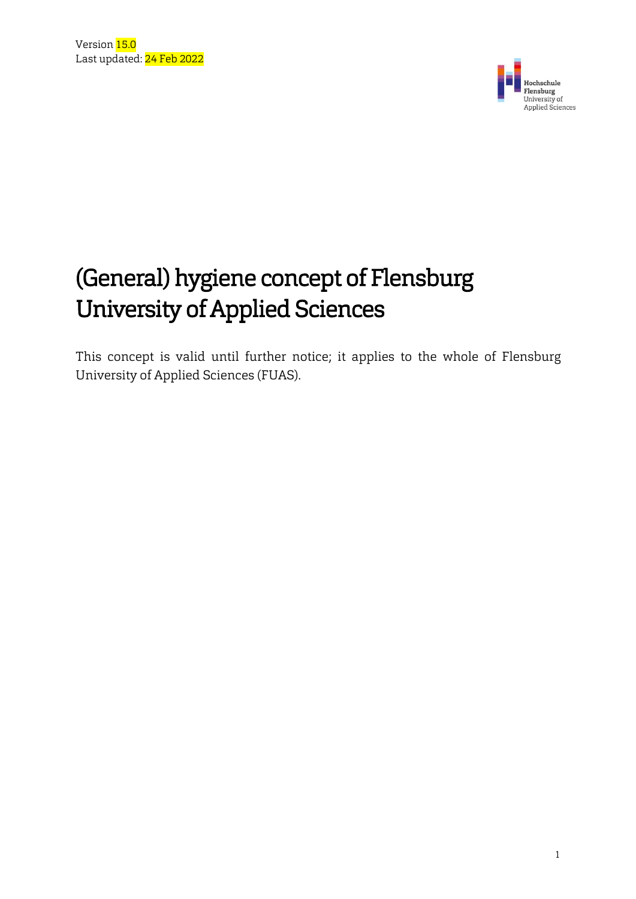

# (General) hygiene concept of Flensburg University of Applied Sciences

This concept is valid until further notice; it applies to the whole of Flensburg University of Applied Sciences (FUAS).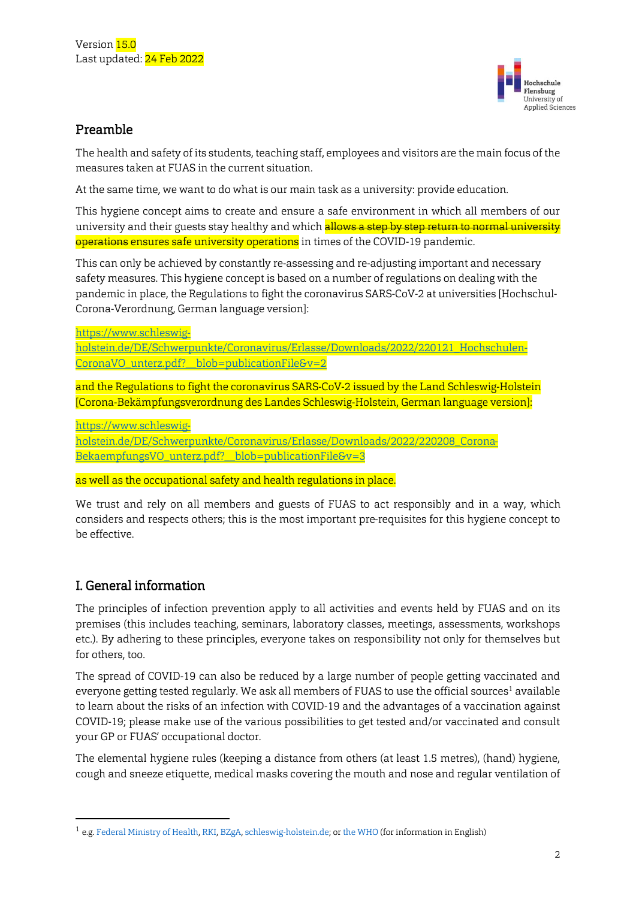

### Preamble

The health and safety of its students, teaching staff, employees and visitors are the main focus of the measures taken at FUAS in the current situation.

At the same time, we want to do what is our main task as a university: provide education.

This hygiene concept aims to create and ensure a safe environment in which all members of our university and their guests stay healthy and which allows a step by step return to normal university operations ensures safe university operations in times of the COVID-19 pandemic.

This can only be achieved by constantly re-assessing and re-adjusting important and necessary safety measures. This hygiene concept is based on a number of regulations on dealing with the pandemic in place, the Regulations to fight the coronavirus SARS-CoV-2 at universities [Hochschul-Corona-Verordnung, German language version]:

[https://www.schleswig-](https://www.schleswig-holstein.de/DE/Schwerpunkte/Coronavirus/Erlasse/Downloads/2022/220121_Hochschulen-CoronaVO_unterz.pdf?__blob=publicationFile&v=2)

[holstein.de/DE/Schwerpunkte/Coronavirus/Erlasse/Downloads/2022/220121\\_Hochschulen-](https://www.schleswig-holstein.de/DE/Schwerpunkte/Coronavirus/Erlasse/Downloads/2022/220121_Hochschulen-CoronaVO_unterz.pdf?__blob=publicationFile&v=2)[CoronaVO\\_unterz.pdf?\\_\\_blob=publicationFile&v=2](https://www.schleswig-holstein.de/DE/Schwerpunkte/Coronavirus/Erlasse/Downloads/2022/220121_Hochschulen-CoronaVO_unterz.pdf?__blob=publicationFile&v=2)

and the Regulations to fight the coronavirus SARS-CoV-2 issued by the Land Schleswig-Holstein [Corona-Bekämpfungsverordnung des Landes Schleswig-Holstein, German language version]:

[https://www.schleswig-](https://www.schleswig-holstein.de/DE/Schwerpunkte/Coronavirus/Erlasse/Downloads/2022/220208_Corona-BekaempfungsVO_unterz.pdf?__blob=publicationFile&v=3)

[holstein.de/DE/Schwerpunkte/Coronavirus/Erlasse/Downloads/2022/220208\\_Corona-](https://www.schleswig-holstein.de/DE/Schwerpunkte/Coronavirus/Erlasse/Downloads/2022/220208_Corona-BekaempfungsVO_unterz.pdf?__blob=publicationFile&v=3)BekaempfungsVO\_unterz.pdf?\_blob=publicationFile&v=3

as well as the occupational safety and health regulations in place.

We trust and rely on all members and guests of FUAS to act responsibly and in a way, which considers and respects others; this is the most important pre-requisites for this hygiene concept to be effective.

### I. General information

1

The principles of infection prevention apply to all activities and events held by FUAS and on its premises (this includes teaching, seminars, laboratory classes, meetings, assessments, workshops etc.). By adhering to these principles, everyone takes on responsibility not only for themselves but for others, too.

The spread of COVID-19 can also be reduced by a large number of people getting vaccinated and everyone getting tested regularly. We ask all members of FUAS to use the official sources<sup>1</sup> available to learn about the risks of an infection with COVID-19 and the advantages of a vaccination against COVID-19; please make use of the various possibilities to get tested and/or vaccinated and consult your GP or FUAS' occupational doctor.

The elemental hygiene rules (keeping a distance from others (at least 1.5 metres), (hand) hygiene, cough and sneeze etiquette, medical masks covering the mouth and nose and regular ventilation of

<sup>1</sup> e.g. Federal Ministry of Health, RKI, BZgA, schleswig-holstein.de; or the WHO (for information in English)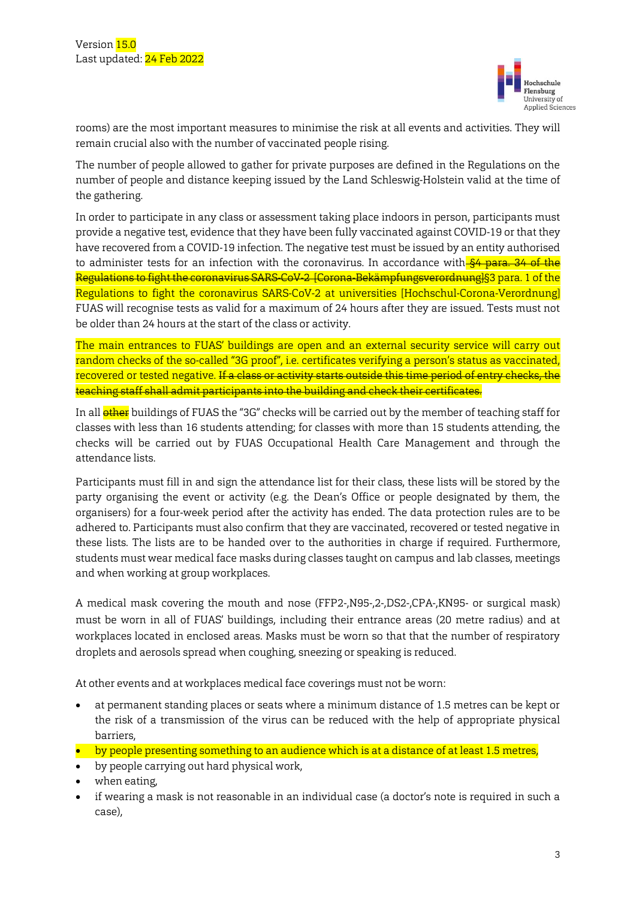

rooms) are the most important measures to minimise the risk at all events and activities. They will remain crucial also with the number of vaccinated people rising.

The number of people allowed to gather for private purposes are defined in the Regulations on the number of people and distance keeping issued by the Land Schleswig-Holstein valid at the time of the gathering.

In order to participate in any class or assessment taking place indoors in person, participants must provide a negative test, evidence that they have been fully vaccinated against COVID-19 or that they have recovered from a COVID-19 infection. The negative test must be issued by an entity authorised to administer tests for an infection with the coronavirus. In accordance with §4 para. 34 of the Regulations to fight the coronavirus SARS-CoV-2 [Corona-Bekämpfungsverordnung]§3 para. 1 of the Regulations to fight the coronavirus SARS-CoV-2 at universities [Hochschul-Corona-Verordnung] FUAS will recognise tests as valid for a maximum of 24 hours after they are issued. Tests must not be older than 24 hours at the start of the class or activity.

The main entrances to FUAS' buildings are open and an external security service will carry out random checks of the so-called "3G proof", i.e. certificates verifying a person's status as vaccinated, recovered or tested negative. If a class or activity starts outside this time period of entry checks, the teaching staff shall admit participants into the building and check their certificates.

In all **other** buildings of FUAS the "3G" checks will be carried out by the member of teaching staff for classes with less than 16 students attending; for classes with more than 15 students attending, the checks will be carried out by FUAS Occupational Health Care Management and through the attendance lists.

Participants must fill in and sign the attendance list for their class, these lists will be stored by the party organising the event or activity (e.g. the Dean's Office or people designated by them, the organisers) for a four-week period after the activity has ended. The data protection rules are to be adhered to. Participants must also confirm that they are vaccinated, recovered or tested negative in these lists. The lists are to be handed over to the authorities in charge if required. Furthermore, students must wear medical face masks during classes taught on campus and lab classes, meetings and when working at group workplaces.

A medical mask covering the mouth and nose (FFP2-,N95-,2-,DS2-,CPA-,KN95- or surgical mask) must be worn in all of FUAS' buildings, including their entrance areas (20 metre radius) and at workplaces located in enclosed areas. Masks must be worn so that that the number of respiratory droplets and aerosols spread when coughing, sneezing or speaking is reduced.

At other events and at workplaces medical face coverings must not be worn:

- at permanent standing places or seats where a minimum distance of 1.5 metres can be kept or the risk of a transmission of the virus can be reduced with the help of appropriate physical barriers,
- **by people presenting something to an audience which is at a distance of at least 1.5 metres,**
- by people carrying out hard physical work,
- when eating,
- if wearing a mask is not reasonable in an individual case (a doctor's note is required in such a case),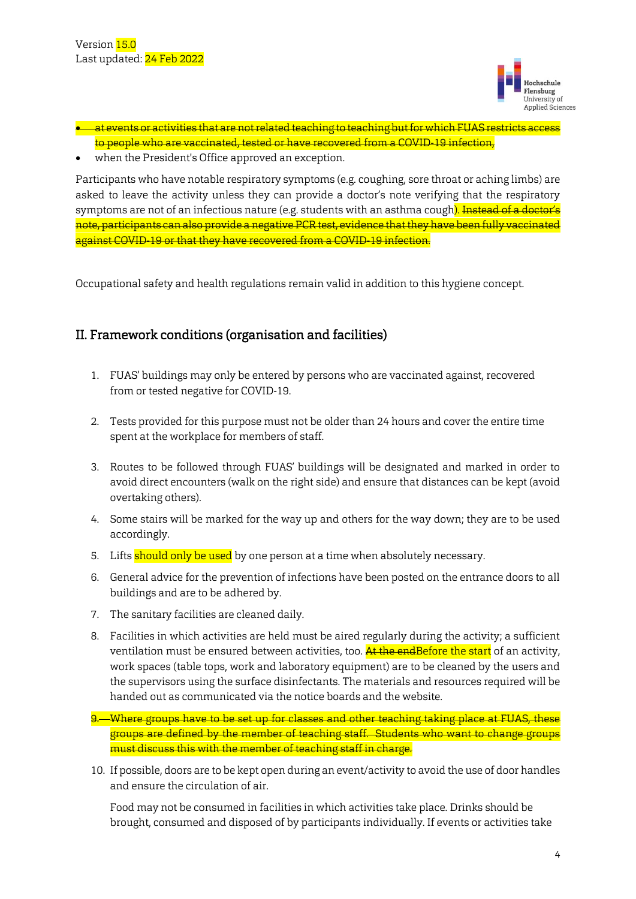

- at events or activities that are not related teaching to teaching but for which FUAS restricts access to people who are vaccinated, tested or have recovered from a COVID-19 infection,
- when the President's Office approved an exception.

Participants who have notable respiratory symptoms (e.g. coughing, sore throat or aching limbs) are asked to leave the activity unless they can provide a doctor's note verifying that the respiratory symptoms are not of an infectious nature (e.g. students with an asthma cough<mark>). <del>Instead of a doctor's</del></mark> note, participants can also provide a negative PCR test, evidence that they have been fully vaccinated against COVID-19 or that they have recovered from a COVID-19 infection.

Occupational safety and health regulations remain valid in addition to this hygiene concept.

## II. Framework conditions (organisation and facilities)

- 1. FUAS' buildings may only be entered by persons who are vaccinated against, recovered from or tested negative for COVID-19.
- 2. Tests provided for this purpose must not be older than 24 hours and cover the entire time spent at the workplace for members of staff.
- 3. Routes to be followed through FUAS' buildings will be designated and marked in order to avoid direct encounters (walk on the right side) and ensure that distances can be kept (avoid overtaking others).
- 4. Some stairs will be marked for the way up and others for the way down; they are to be used accordingly.
- 5. Lifts should only be used by one person at a time when absolutely necessary.
- 6. General advice for the prevention of infections have been posted on the entrance doors to all buildings and are to be adhered by.
- 7. The sanitary facilities are cleaned daily.
- 8. Facilities in which activities are held must be aired regularly during the activity; a sufficient ventilation must be ensured between activities, too. **At the endBefore the start** of an activity, work spaces (table tops, work and laboratory equipment) are to be cleaned by the users and the supervisors using the surface disinfectants. The materials and resources required will be handed out as communicated via the notice boards and the website.
- 9. Where groups have to be set up for classes and other teaching taking place at FUAS, these groups are defined by the member of teaching staff. Students who want to change groups must discuss this with the member of teaching staff in charge.
- 10. If possible, doors are to be kept open during an event/activity to avoid the use of door handles and ensure the circulation of air.

Food may not be consumed in facilities in which activities take place. Drinks should be brought, consumed and disposed of by participants individually. If events or activities take